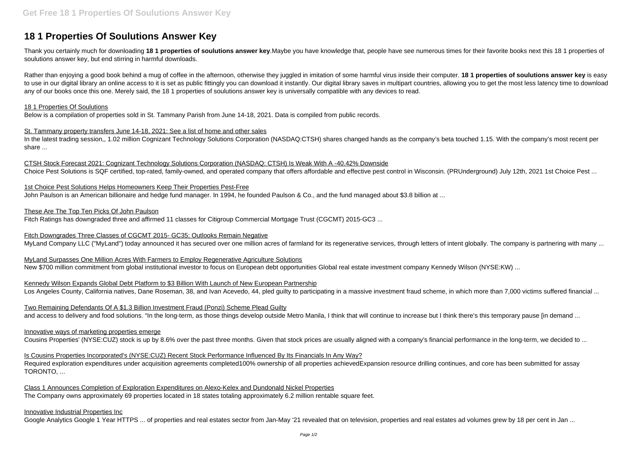# **18 1 Properties Of Soulutions Answer Key**

Thank you certainly much for downloading **18 1 properties of soulutions answer key**.Maybe you have knowledge that, people have see numerous times for their favorite books next this 18 1 properties of soulutions answer key, but end stirring in harmful downloads.

Rather than enjoying a good book behind a mug of coffee in the afternoon, otherwise they juggled in imitation of some harmful virus inside their computer. **18 1 properties of soulutions answer key** is easy to use in our digital library an online access to it is set as public fittingly you can download it instantly. Our digital library saves in multipart countries, allowing you to get the most less latency time to download any of our books once this one. Merely said, the 18 1 properties of soulutions answer key is universally compatible with any devices to read.

1st Choice Pest Solutions Helps Homeowners Keep Their Properties Pest-Free John Paulson is an American billionaire and hedge fund manager. In 1994, he founded Paulson & Co., and the fund managed about \$3.8 billion at ...

# 18 1 Properties Of Soulutions

Below is a compilation of properties sold in St. Tammany Parish from June 14-18, 2021. Data is compiled from public records.

Fitch Downgrades Three Classes of CGCMT 2015- GC35; Outlooks Remain Negative MyLand Company LLC ("MyLand") today announced it has secured over one million acres of farmland for its regenerative services, through letters of intent globally. The company is partnering with many ...

# St. Tammany property transfers June 14-18, 2021: See a list of home and other sales

In the latest trading session,, 1.02 million Cognizant Technology Solutions Corporation (NASDAQ:CTSH) shares changed hands as the company's beta touched 1.15. With the company's most recent per share ...

Kennedy Wilson Expands Global Debt Platform to \$3 Billion With Launch of New European Partnership Los Angeles County, California natives, Dane Roseman, 38, and Ivan Acevedo, 44, pled quilty to participating in a massive investment fraud scheme, in which more than 7,000 victims suffered financial ...

Two Remaining Defendants Of A \$1.3 Billion Investment Fraud (Ponzi) Scheme Plead Guilty and access to delivery and food solutions. "In the long-term, as those things develop outside Metro Manila, I think that will continue to increase but I think there's this temporary pause [in demand ...

CTSH Stock Forecast 2021: Cognizant Technology Solutions Corporation (NASDAQ: CTSH) Is Weak With A -40.42% Downside Choice Pest Solutions is SQF certified, top-rated, family-owned, and operated company that offers affordable and effective pest control in Wisconsin. (PRUnderground) July 12th, 2021 1st Choice Pest ...

# These Are The Top Ten Picks Of John Paulson

Fitch Ratings has downgraded three and affirmed 11 classes for Citigroup Commercial Mortgage Trust (CGCMT) 2015-GC3 ...

MyLand Surpasses One Million Acres With Farmers to Employ Regenerative Agriculture Solutions New \$700 million commitment from global institutional investor to focus on European debt opportunities Global real estate investment company Kennedy Wilson (NYSE:KW) ...

# Innovative ways of marketing properties emerge

Cousins Properties' (NYSE:CUZ) stock is up by 8.6% over the past three months. Given that stock prices are usually aligned with a company's financial performance in the long-term, we decided to ...

Is Cousins Properties Incorporated's (NYSE:CUZ) Recent Stock Performance Influenced By Its Financials In Any Way? Required exploration expenditures under acquisition agreements completed100% ownership of all properties achievedExpansion resource drilling continues, and core has been submitted for assay TORONTO, ...

Class 1 Announces Completion of Exploration Expenditures on Alexo-Kelex and Dundonald Nickel Properties The Company owns approximately 69 properties located in 18 states totaling approximately 6.2 million rentable square feet.

# Innovative Industrial Properties Inc

Google Analytics Google 1 Year HTTPS ... of properties and real estates sector from Jan-May '21 revealed that on television, properties and real estates ad volumes grew by 18 per cent in Jan ...